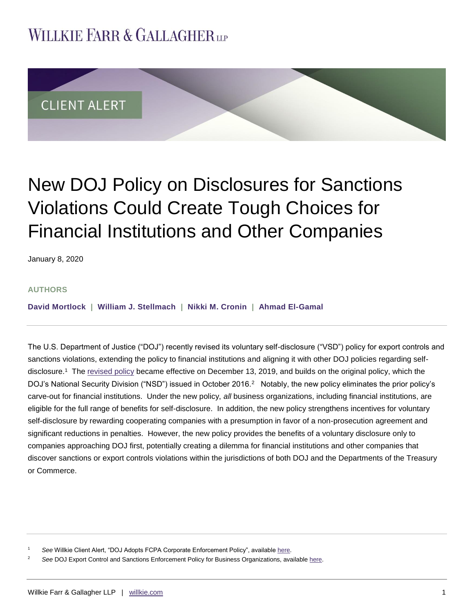## **WILLKIE FARR & GALLAGHERUP**



# New DOJ Policy on Disclosures for Sanctions Violations Could Create Tough Choices for Financial Institutions and Other Companies

January 8, 2020

#### **AUTHORS**

**[David Mortlock](https://www.willkie.com/professionals/m/mortlock-david) | [William J. Stellmach](https://www.willkie.com/professionals/s/stellmach-william) | [Nikki M. Cronin](https://www.willkie.com/professionals/c/cronin-nikki) | [Ahmad El-Gamal](https://www.willkie.com/professionals/e/el-gamal-ahmad)**

The U.S. Department of Justice ("DOJ") recently revised its voluntary self-disclosure ("VSD") policy for export controls and sanctions violations, extending the policy to financial institutions and aligning it with other DOJ policies regarding selfdisclosure.<sup>1</sup> The <u>revised policy</u> became effective on December 13, 2019, and builds on the original policy, which the DOJ's National Security Division ("NSD") issued in October 2016.<sup>2</sup> Notably, the new policy eliminates the prior policy's carve-out for financial institutions. Under the new policy, *all* business organizations, including financial institutions, are eligible for the full range of benefits for self-disclosure. In addition, the new policy strengthens incentives for voluntary self-disclosure by rewarding cooperating companies with a presumption in favor of a non-prosecution agreement and significant reductions in penalties. However, the new policy provides the benefits of a voluntary disclosure only to companies approaching DOJ first, potentially creating a dilemma for financial institutions and other companies that discover sanctions or export controls violations within the jurisdictions of both DOJ and the Departments of the Treasury or Commerce.

See Willkie Client Alert, "DOJ Adopts FCPA Corporate Enforcement Policy", availabl[e here.](https://www.willkie.com/~/media/Files/Publications/2017/11/DOJ_Adopts_FCPA_Corporate_Enforcement_%20Policy.pdf)

<sup>2</sup> *See* DOJ Export Control and Sanctions Enforcement Policy for Business Organizations, available [here.](https://www.justice.gov/nsd/ces_vsd_policy_2019/download?utm_medium=email&utm_source=govdelivery)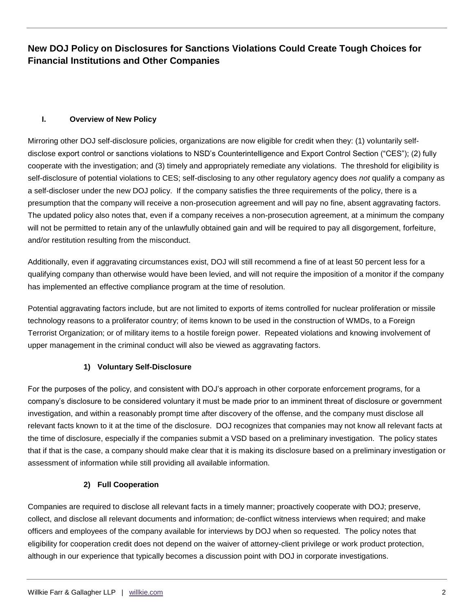### **I. Overview of New Policy**

Mirroring other DOJ self-disclosure policies, organizations are now eligible for credit when they: (1) voluntarily selfdisclose export control or sanctions violations to NSD's Counterintelligence and Export Control Section ("CES"); (2) fully cooperate with the investigation; and (3) timely and appropriately remediate any violations. The threshold for eligibility is self-disclosure of potential violations to CES; self-disclosing to any other regulatory agency does *not* qualify a company as a self-discloser under the new DOJ policy. If the company satisfies the three requirements of the policy, there is a presumption that the company will receive a non-prosecution agreement and will pay no fine, absent aggravating factors. The updated policy also notes that, even if a company receives a non-prosecution agreement, at a minimum the company will not be permitted to retain any of the unlawfully obtained gain and will be required to pay all disgorgement, forfeiture, and/or restitution resulting from the misconduct.

Additionally, even if aggravating circumstances exist, DOJ will still recommend a fine of at least 50 percent less for a qualifying company than otherwise would have been levied, and will not require the imposition of a monitor if the company has implemented an effective compliance program at the time of resolution.

Potential aggravating factors include, but are not limited to exports of items controlled for nuclear proliferation or missile technology reasons to a proliferator country; of items known to be used in the construction of WMDs, to a Foreign Terrorist Organization; or of military items to a hostile foreign power. Repeated violations and knowing involvement of upper management in the criminal conduct will also be viewed as aggravating factors.

## **1) Voluntary Self-Disclosure**

For the purposes of the policy, and consistent with DOJ's approach in other corporate enforcement programs, for a company's disclosure to be considered voluntary it must be made prior to an imminent threat of disclosure or government investigation, and within a reasonably prompt time after discovery of the offense, and the company must disclose all relevant facts known to it at the time of the disclosure. DOJ recognizes that companies may not know all relevant facts at the time of disclosure, especially if the companies submit a VSD based on a preliminary investigation. The policy states that if that is the case, a company should make clear that it is making its disclosure based on a preliminary investigation or assessment of information while still providing all available information.

## **2) Full Cooperation**

Companies are required to disclose all relevant facts in a timely manner; proactively cooperate with DOJ; preserve, collect, and disclose all relevant documents and information; de-conflict witness interviews when required; and make officers and employees of the company available for interviews by DOJ when so requested. The policy notes that eligibility for cooperation credit does not depend on the waiver of attorney-client privilege or work product protection, although in our experience that typically becomes a discussion point with DOJ in corporate investigations.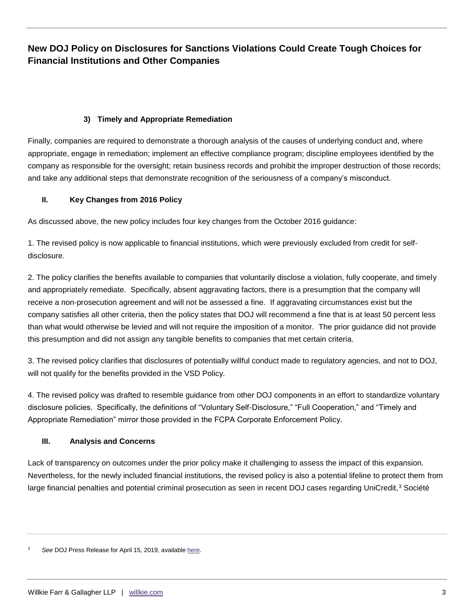#### **3) Timely and Appropriate Remediation**

Finally, companies are required to demonstrate a thorough analysis of the causes of underlying conduct and, where appropriate, engage in remediation; implement an effective compliance program; discipline employees identified by the company as responsible for the oversight; retain business records and prohibit the improper destruction of those records; and take any additional steps that demonstrate recognition of the seriousness of a company's misconduct.

#### **II. Key Changes from 2016 Policy**

As discussed above, the new policy includes four key changes from the October 2016 guidance:

1. The revised policy is now applicable to financial institutions, which were previously excluded from credit for selfdisclosure.

2. The policy clarifies the benefits available to companies that voluntarily disclose a violation, fully cooperate, and timely and appropriately remediate. Specifically, absent aggravating factors, there is a presumption that the company will receive a non-prosecution agreement and will not be assessed a fine. If aggravating circumstances exist but the company satisfies all other criteria, then the policy states that DOJ will recommend a fine that is at least 50 percent less than what would otherwise be levied and will not require the imposition of a monitor. The prior guidance did not provide this presumption and did not assign any tangible benefits to companies that met certain criteria.

3. The revised policy clarifies that disclosures of potentially willful conduct made to regulatory agencies, and not to DOJ, will not qualify for the benefits provided in the VSD Policy.

4. The revised policy was drafted to resemble guidance from other DOJ components in an effort to standardize voluntary disclosure policies. Specifically, the definitions of "Voluntary Self-Disclosure," "Full Cooperation," and "Timely and Appropriate Remediation" mirror those provided in the FCPA Corporate Enforcement Policy.

#### **III. Analysis and Concerns**

Lack of transparency on outcomes under the prior policy make it challenging to assess the impact of this expansion. Nevertheless, for the newly included financial institutions, the revised policy is also a potential lifeline to protect them from large financial penalties and potential criminal prosecution as seen in recent DOJ cases regarding UniCredit,<sup>3</sup> Société

<sup>3</sup> *See* DOJ Press Release for April 15, 2019, availabl[e here.](at%20https:/www.justice.gov/opa/pr/unicredit-bank-ag-agrees-plead-guilty-illegally-processing-transactions-violation-iranian)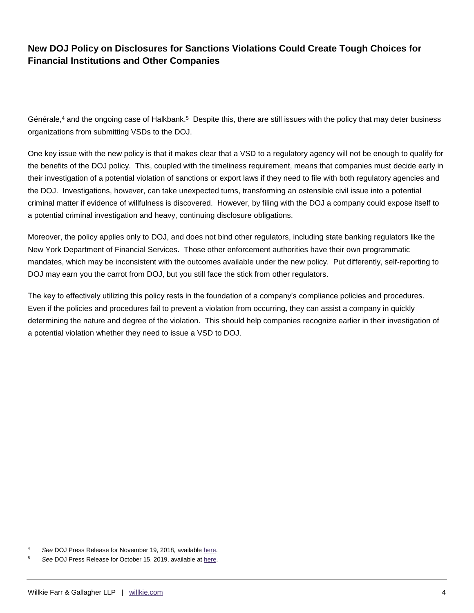Générale, $4$  and the ongoing case of Halkbank.<sup>5</sup> Despite this, there are still issues with the policy that may deter business organizations from submitting VSDs to the DOJ.

One key issue with the new policy is that it makes clear that a VSD to a regulatory agency will not be enough to qualify for the benefits of the DOJ policy. This, coupled with the timeliness requirement, means that companies must decide early in their investigation of a potential violation of sanctions or export laws if they need to file with both regulatory agencies and the DOJ. Investigations, however, can take unexpected turns, transforming an ostensible civil issue into a potential criminal matter if evidence of willfulness is discovered. However, by filing with the DOJ a company could expose itself to a potential criminal investigation and heavy, continuing disclosure obligations.

Moreover, the policy applies only to DOJ, and does not bind other regulators, including state banking regulators like the New York Department of Financial Services. Those other enforcement authorities have their own programmatic mandates, which may be inconsistent with the outcomes available under the new policy. Put differently, self-reporting to DOJ may earn you the carrot from DOJ, but you still face the stick from other regulators.

The key to effectively utilizing this policy rests in the foundation of a company's compliance policies and procedures. Even if the policies and procedures fail to prevent a violation from occurring, they can assist a company in quickly determining the nature and degree of the violation. This should help companies recognize earlier in their investigation of a potential violation whether they need to issue a VSD to DOJ.

<sup>4</sup> *See* DOJ Press Release for November 19, 2018, available [here.](https://www.justice.gov/usao-sdny/pr/manhattan-us-attorney-announces-criminal-charges-against-soci-t-g-n-rale-sa-violations)

<sup>5</sup> *See* DOJ Press Release for October 15, 2019, available a[t here.](hhttps://www.justice.gov/opa/pr/turkish-bank-charged-manhattan-federal-court-its-participation-multibillion-dollar-iranian)